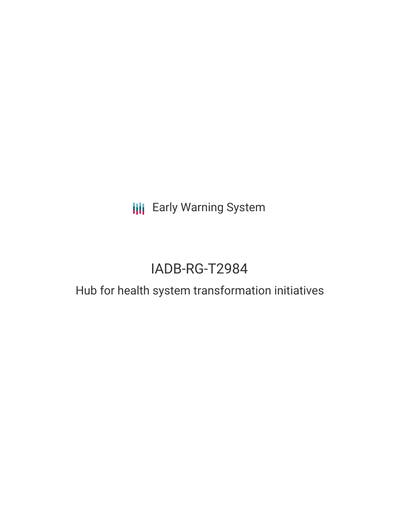**III** Early Warning System

# IADB-RG-T2984

## Hub for health system transformation initiatives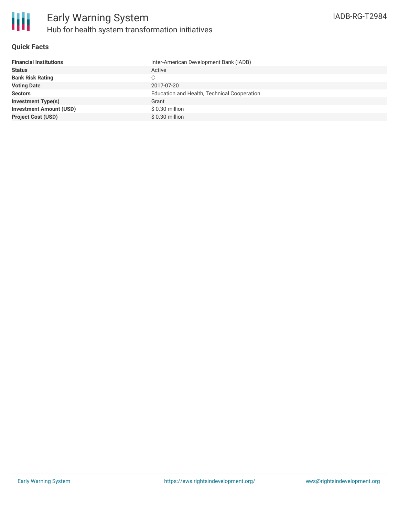

### **Quick Facts**

| Inter-American Development Bank (IADB)      |
|---------------------------------------------|
| Active                                      |
| C                                           |
| 2017-07-20                                  |
| Education and Health, Technical Cooperation |
| Grant                                       |
| $$0.30$ million                             |
| \$0.30 million                              |
|                                             |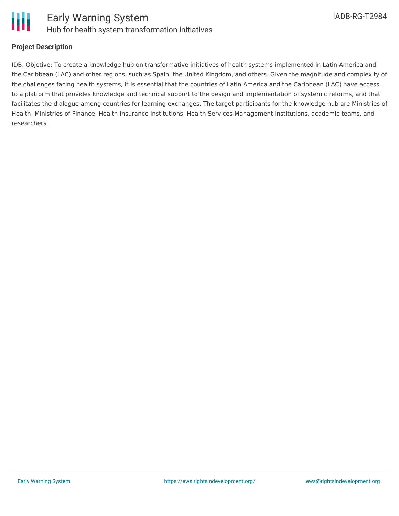

### **Project Description**

IDB: Objetive: To create a knowledge hub on transformative initiatives of health systems implemented in Latin America and the Caribbean (LAC) and other regions, such as Spain, the United Kingdom, and others. Given the magnitude and complexity of the challenges facing health systems, it is essential that the countries of Latin America and the Caribbean (LAC) have access to a platform that provides knowledge and technical support to the design and implementation of systemic reforms, and that facilitates the dialogue among countries for learning exchanges. The target participants for the knowledge hub are Ministries of Health, Ministries of Finance, Health Insurance Institutions, Health Services Management Institutions, academic teams, and researchers.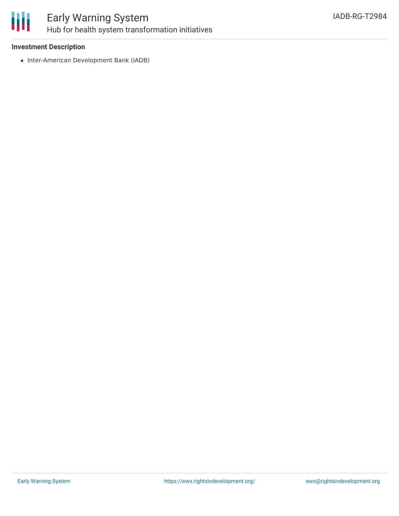

### Early Warning System Hub for health system transformation initiatives

### **Investment Description**

• Inter-American Development Bank (IADB)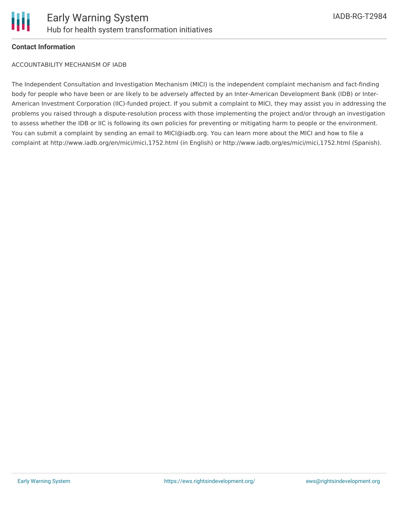

### **Contact Information**

ACCOUNTABILITY MECHANISM OF IADB

The Independent Consultation and Investigation Mechanism (MICI) is the independent complaint mechanism and fact-finding body for people who have been or are likely to be adversely affected by an Inter-American Development Bank (IDB) or Inter-American Investment Corporation (IIC)-funded project. If you submit a complaint to MICI, they may assist you in addressing the problems you raised through a dispute-resolution process with those implementing the project and/or through an investigation to assess whether the IDB or IIC is following its own policies for preventing or mitigating harm to people or the environment. You can submit a complaint by sending an email to MICI@iadb.org. You can learn more about the MICI and how to file a complaint at http://www.iadb.org/en/mici/mici,1752.html (in English) or http://www.iadb.org/es/mici/mici,1752.html (Spanish).